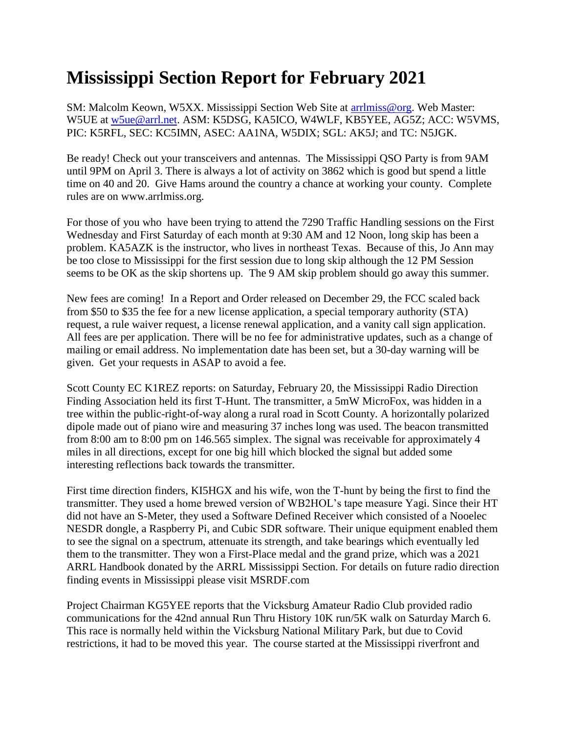## **Mississippi Section Report for February 2021**

SM: Malcolm Keown, W5XX. Mississippi Section Web Site at [arrlmiss@org.](mailto:arrlmiss@org) Web Master: W5UE at [w5ue@arrl.net.](mailto:w5ue@arrl.net) ASM: K5DSG, KA5ICO, W4WLF, KB5YEE, AG5Z; ACC: W5VMS, PIC: K5RFL, SEC: KC5IMN, ASEC: AA1NA, W5DIX; SGL: AK5J; and TC: N5JGK.

Be ready! Check out your transceivers and antennas. The Mississippi QSO Party is from 9AM until 9PM on April 3. There is always a lot of activity on 3862 which is good but spend a little time on 40 and 20. Give Hams around the country a chance at working your county. Complete rules are on www.arrlmiss.org.

For those of you who have been trying to attend the 7290 Traffic Handling sessions on the First Wednesday and First Saturday of each month at 9:30 AM and 12 Noon, long skip has been a problem. KA5AZK is the instructor, who lives in northeast Texas. Because of this, Jo Ann may be too close to Mississippi for the first session due to long skip although the 12 PM Session seems to be OK as the skip shortens up. The 9 AM skip problem should go away this summer.

New fees are coming! In a Report and Order released on December 29, the FCC scaled back from \$50 to \$35 the fee for a new license application, a special temporary authority (STA) request, a rule waiver request, a license renewal application, and a vanity call sign application. All fees are per application. There will be no fee for administrative updates, such as a change of mailing or email address. No implementation date has been set, but a 30-day warning will be given. Get your requests in ASAP to avoid a fee.

Scott County EC K1REZ reports: on Saturday, February 20, the Mississippi Radio Direction Finding Association held its first T-Hunt. The transmitter, a 5mW MicroFox, was hidden in a tree within the public-right-of-way along a rural road in Scott County. A horizontally polarized dipole made out of piano wire and measuring 37 inches long was used. The beacon transmitted from 8:00 am to 8:00 pm on 146.565 simplex. The signal was receivable for approximately 4 miles in all directions, except for one big hill which blocked the signal but added some interesting reflections back towards the transmitter.

First time direction finders, KI5HGX and his wife, won the T-hunt by being the first to find the transmitter. They used a home brewed version of WB2HOL's tape measure Yagi. Since their HT did not have an S-Meter, they used a Software Defined Receiver which consisted of a Nooelec NESDR dongle, a Raspberry Pi, and Cubic SDR software. Their unique equipment enabled them to see the signal on a spectrum, attenuate its strength, and take bearings which eventually led them to the transmitter. They won a First-Place medal and the grand prize, which was a 2021 ARRL Handbook donated by the ARRL Mississippi Section. For details on future radio direction finding events in Mississippi please visit MSRDF.com

Project Chairman KG5YEE reports that the Vicksburg Amateur Radio Club provided radio communications for the 42nd annual Run Thru History 10K run/5K walk on Saturday March 6. This race is normally held within the Vicksburg National Military Park, but due to Covid restrictions, it had to be moved this year. The course started at the Mississippi riverfront and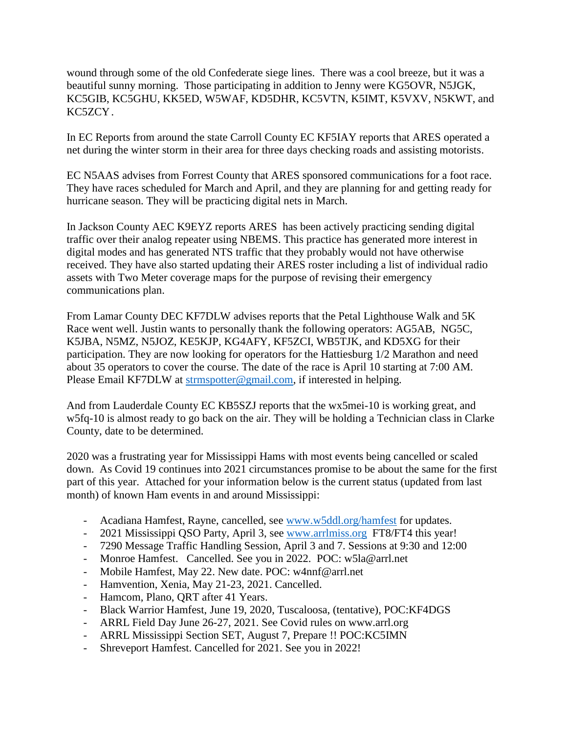wound through some of the old Confederate siege lines. There was a cool breeze, but it was a beautiful sunny morning. Those participating in addition to Jenny were KG5OVR, N5JGK, KC5GIB, KC5GHU, KK5ED, W5WAF, KD5DHR, KC5VTN, K5IMT, K5VXV, N5KWT, and KC5ZCY.

In EC Reports from around the state Carroll County EC KF5IAY reports that ARES operated a net during the winter storm in their area for three days checking roads and assisting motorists.

EC N5AAS advises from Forrest County that ARES sponsored communications for a foot race. They have races scheduled for March and April, and they are planning for and getting ready for hurricane season. They will be practicing digital nets in March.

In Jackson County AEC K9EYZ reports ARES has been actively practicing sending digital traffic over their analog repeater using NBEMS. This practice has generated more interest in digital modes and has generated NTS traffic that they probably would not have otherwise received. They have also started updating their ARES roster including a list of individual radio assets with Two Meter coverage maps for the purpose of revising their emergency communications plan.

From Lamar County DEC KF7DLW advises reports that the Petal Lighthouse Walk and 5K Race went well. Justin wants to personally thank the following operators: AG5AB, NG5C, K5JBA, N5MZ, N5JOZ, KE5KJP, KG4AFY, KF5ZCI, WB5TJK, and KD5XG for their participation. They are now looking for operators for the Hattiesburg 1/2 Marathon and need about 35 operators to cover the course. The date of the race is April 10 starting at 7:00 AM. Please Email KF7DLW at [strmspotter@gmail.com,](mailto:strmspotter@gmail.com) if interested in helping.

And from Lauderdale County EC KB5SZJ reports that the wx5mei-10 is working great, and w5fq-10 is almost ready to go back on the air. They will be holding a Technician class in Clarke County, date to be determined.

2020 was a frustrating year for Mississippi Hams with most events being cancelled or scaled down. As Covid 19 continues into 2021 circumstances promise to be about the same for the first part of this year. Attached for your information below is the current status (updated from last month) of known Ham events in and around Mississippi:

- Acadiana Hamfest, Rayne, cancelled, see [www.w5ddl.org/hamfest](http://www.w5ddl.org/hamfest) for updates.
- 2021 Mississippi QSO Party, April 3, see [www.arrlmiss.org](http://www.arrlmiss.org/) FT8/FT4 this year!
- 7290 Message Traffic Handling Session, April 3 and 7. Sessions at 9:30 and 12:00
- Monroe Hamfest. Cancelled. See you in 2022. POC: w5la@arrl.net
- Mobile Hamfest, May 22. New date. POC: w4nnf@arrl.net
- Hamvention, Xenia, May 21-23, 2021. Cancelled.
- Hamcom, Plano, QRT after 41 Years.
- Black Warrior Hamfest, June 19, 2020, Tuscaloosa, (tentative), POC:KF4DGS
- ARRL Field Day June 26-27, 2021. See Covid rules on www.arrl.org
- ARRL Mississippi Section SET, August 7, Prepare !! POC:KC5IMN
- Shreveport Hamfest. Cancelled for 2021. See you in 2022!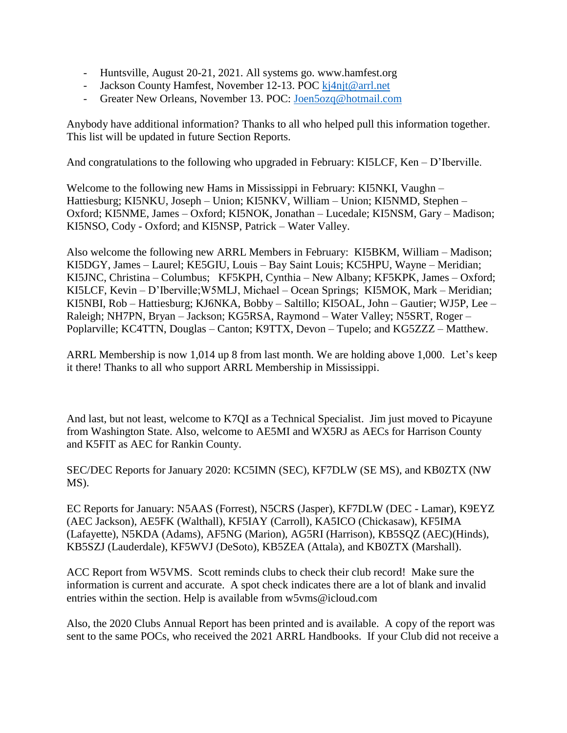- Huntsville, August 20-21, 2021. All systems go. www.hamfest.org
- Jackson County Hamfest, November 12-13. POC [kj4njt@arrl.net](mailto:kj4njt@arrl.net)
- Greater New Orleans, November 13. POC: [Joen5ozq@hotmail.com](mailto:Joen5ozq@hotmail.com)

Anybody have additional information? Thanks to all who helped pull this information together. This list will be updated in future Section Reports.

And congratulations to the following who upgraded in February: KI5LCF, Ken – D'Iberville.

Welcome to the following new Hams in Mississippi in February: KI5NKI, Vaughn – Hattiesburg; KI5NKU, Joseph – Union; KI5NKV, William – Union; KI5NMD, Stephen – Oxford; KI5NME, James – Oxford; KI5NOK, Jonathan – Lucedale; KI5NSM, Gary – Madison; KI5NSO, Cody - Oxford; and KI5NSP, Patrick – Water Valley.

Also welcome the following new ARRL Members in February: KI5BKM, William – Madison; KI5DGY, James – Laurel; KE5GIU, Louis – Bay Saint Louis; KC5HPU, Wayne – Meridian; KI5JNC, Christina – Columbus; KF5KPH, Cynthia – New Albany; KF5KPK, James – Oxford; KI5LCF, Kevin – D'Iberville;W5MLJ, Michael – Ocean Springs; KI5MOK, Mark – Meridian; KI5NBI, Rob – Hattiesburg; KJ6NKA, Bobby – Saltillo; KI5OAL, John – Gautier; WJ5P, Lee – Raleigh; NH7PN, Bryan – Jackson; KG5RSA, Raymond – Water Valley; N5SRT, Roger – Poplarville; KC4TTN, Douglas – Canton; K9TTX, Devon – Tupelo; and KG5ZZZ – Matthew.

ARRL Membership is now 1,014 up 8 from last month. We are holding above 1,000. Let's keep it there! Thanks to all who support ARRL Membership in Mississippi.

And last, but not least, welcome to K7QI as a Technical Specialist. Jim just moved to Picayune from Washington State. Also, welcome to AE5MI and WX5RJ as AECs for Harrison County and K5FIT as AEC for Rankin County.

SEC/DEC Reports for January 2020: KC5IMN (SEC), KF7DLW (SE MS), and KB0ZTX (NW MS).

EC Reports for January: N5AAS (Forrest), N5CRS (Jasper), KF7DLW (DEC - Lamar), K9EYZ (AEC Jackson), AE5FK (Walthall), KF5IAY (Carroll), KA5ICO (Chickasaw), KF5IMA (Lafayette), N5KDA (Adams), AF5NG (Marion), AG5RI (Harrison), KB5SQZ (AEC)(Hinds), KB5SZJ (Lauderdale), KF5WVJ (DeSoto), KB5ZEA (Attala), and KB0ZTX (Marshall).

ACC Report from W5VMS. Scott reminds clubs to check their club record! Make sure the information is current and accurate. A spot check indicates there are a lot of blank and invalid entries within the section. Help is available from w5vms@icloud.com

Also, the 2020 Clubs Annual Report has been printed and is available. A copy of the report was sent to the same POCs, who received the 2021 ARRL Handbooks. If your Club did not receive a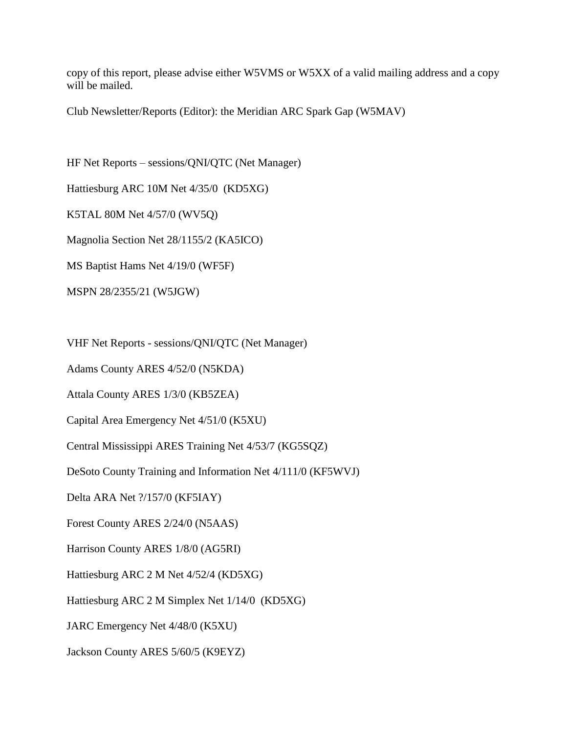copy of this report, please advise either W5VMS or W5XX of a valid mailing address and a copy will be mailed.

Club Newsletter/Reports (Editor): the Meridian ARC Spark Gap (W5MAV)

HF Net Reports – sessions/QNI/QTC (Net Manager) Hattiesburg ARC 10M Net 4/35/0 (KD5XG) K5TAL 80M Net 4/57/0 (WV5Q) Magnolia Section Net 28/1155/2 (KA5ICO) MS Baptist Hams Net 4/19/0 (WF5F) MSPN 28/2355/21 (W5JGW)

VHF Net Reports - sessions/QNI/QTC (Net Manager)

Adams County ARES 4/52/0 (N5KDA)

Attala County ARES 1/3/0 (KB5ZEA)

Capital Area Emergency Net 4/51/0 (K5XU)

Central Mississippi ARES Training Net 4/53/7 (KG5SQZ)

DeSoto County Training and Information Net 4/111/0 (KF5WVJ)

Delta ARA Net ?/157/0 (KF5IAY)

Forest County ARES 2/24/0 (N5AAS)

Harrison County ARES 1/8/0 (AG5RI)

Hattiesburg ARC 2 M Net 4/52/4 (KD5XG)

Hattiesburg ARC 2 M Simplex Net 1/14/0 (KD5XG)

JARC Emergency Net 4/48/0 (K5XU)

Jackson County ARES 5/60/5 (K9EYZ)